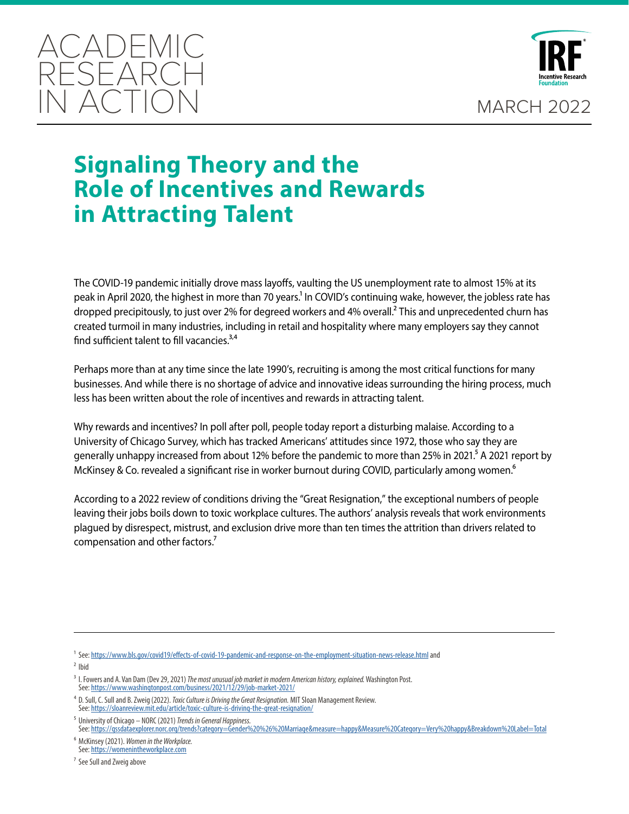



# **Signaling Theory and the Role of Incentives and Rewards in Attracting Talent**

The COVID-19 pandemic initially drove mass layoffs, vaulting the US unemployment rate to almost 15% at its peak in April 2020, the highest in more than 70 years.<sup>1</sup> In COVID's continuing wake, however, the jobless rate has dropped precipitously, to just over 2% for degreed workers and 4% overall.<sup>2</sup> This and unprecedented churn has created turmoil in many industries, including in retail and hospitality where many employers say they cannot find sufficient talent to fill vacancies. $3,4$ 

Perhaps more than at any time since the late 1990's, recruiting is among the most critical functions for many businesses. And while there is no shortage of advice and innovative ideas surrounding the hiring process, much less has been written about the role of incentives and rewards in attracting talent.

Why rewards and incentives? In poll after poll, people today report a disturbing malaise. According to a University of Chicago Survey, which has tracked Americans' attitudes since 1972, those who say they are generally unhappy increased from about 12% before the pandemic to more than 25% in 2021.<sup>5</sup> A 2021 report by McKinsey & Co. revealed a significant rise in worker burnout during COVID, particularly among women.<sup>6</sup>

According to a 2022 review of conditions driving the "Great Resignation," the exceptional numbers of people leaving their jobs boils down to toxic workplace cultures. The authors' analysis reveals that work environments plagued by disrespect, mistrust, and exclusion drive more than ten times the attrition than drivers related to compensation and other factors.<sup>7</sup>

 $2$  Ibid

6 McKinsey (2021). *Women in the Workplace.* See: <https://womenintheworkplace.com>

7 See Sull and Zweig above

<sup>1</sup> See: <https://www.bls.gov/covid19/effects-of-covid-19-pandemic-and-response-on-the-employment-situation-news-release.htmI> and

<sup>3</sup> I. Fowers and A. Van Dam (Dev 29, 2021) *The most unusual job market in modern American history, explained.* Washington Post. See: <https://www.washingtonpost.com/business/2021/12/29/job-market-2021/>

<sup>4</sup> D. Sull, C. Sull and B. Zweig (2022). *Toxic Culture is Driving the Great Resignation.* MIT Sloan Management Review. See: <https://sloanreview.mit.edu/article/toxic-culture-is-driving-the-great-resignation/>

<sup>5</sup> University of Chicago – NORC (2021) *Trends in General Happiness.* See: <https://gssdataexplorer.norc.org/trends?category=Gender%20%26%20Marriage&measure=happy&Measure%20Category=Very%20happy&Breakdown%20Label=Total>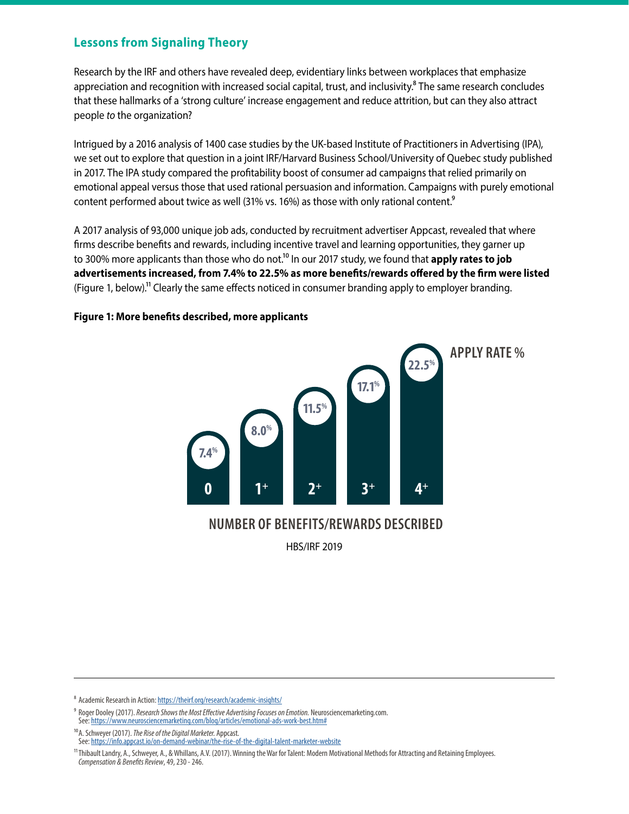## **Lessons from Signaling Theory**

Research by the IRF and others have revealed deep, evidentiary links between workplaces that emphasize appreciation and recognition with increased social capital, trust, and inclusivity.<sup>8</sup> The same research concludes that these hallmarks of a 'strong culture' increase engagement and reduce attrition, but can they also attract people *to* the organization?

Intrigued by a 2016 analysis of 1400 case studies by the UK-based Institute of Practitioners in Advertising (IPA), we set out to explore that question in a joint IRF/Harvard Business School/University of Quebec study published in 2017. The IPA study compared the profitability boost of consumer ad campaigns that relied primarily on emotional appeal versus those that used rational persuasion and information. Campaigns with purely emotional content performed about twice as well (31% vs. 16%) as those with only rational content.<sup>9</sup>

A 2017 analysis of 93,000 unique job ads, conducted by recruitment advertiser Appcast, revealed that where firms describe benefits and rewards, including incentive travel and learning opportunities, they garner up to 300% more applicants than those who do not.<sup>10</sup> In our 2017 study, we found that **apply rates to job advertisements increased, from 7.4% to 22.5% as more benefits/rewards offered by the firm were listed** (Figure 1, below).11 Clearly the same effects noticed in consumer branding apply to employer branding.

#### **Figure 1: More benefits described, more applicants**



HBS/IRF 2019

⁸ Academic Research in Action: [https://theirf.org/research/academic-insights/](https://www.blueboard.com/blog/the-problem-with-points-based-rewards-systems)

⁹ Roger Dooley (2017). *Research Shows the Most Effective Advertising Focuses on Emotion.* Neurosciencemarketing.com. See: <https://www.neurosciencemarketing.com/blog/articles/emotional-ads-work-best.htm#>

10A. Schweyer (2017). *The Rise of the Digital Marketer.* Appcast.

See: <https://info.appcast.io/on-demand-webinar/the-rise-of-the-digital-talent-marketer-website>

11Thibault Landry, A., Schweyer, A., & Whillans, A.V. (2017). Winning the War for Talent: Modern Motivational Methods for Attracting and Retaining Employees. *Compensation & Benefits Review*, 49, 230 - 246.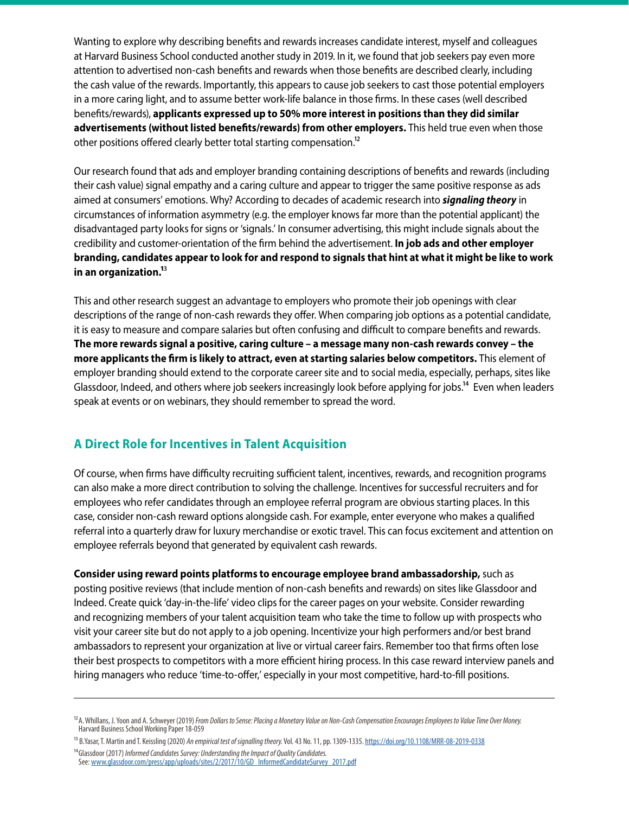Wanting to explore why describing benefits and rewards increases candidate interest, myself and colleagues at Harvard Business School conducted another study in 2019. In it, we found that job seekers pay even more attention to advertised non-cash benefits and rewards when those benefits are described clearly, including the cash value of the rewards. Importantly, this appears to cause job seekers to cast those potential employers in a more caring light, and to assume better work-life balance in those firms. In these cases (well described benefits/rewards), **applicants expressed up to 50% more interest in positions than they did similar advertisements (without listed benefits/rewards) from other employers.** This held true even when those other positions offered clearly better total starting compensation.<sup>12</sup>

Our research found that ads and employer branding containing descriptions of benefits and rewards (including their cash value) signal empathy and a caring culture and appear to trigger the same positive response as ads aimed at consumers' emotions. Why? According to decades of academic research into *signaling theory* in circumstances of information asymmetry (e.g. the employer knows far more than the potential applicant) the disadvantaged party looks for signs or 'signals.' In consumer advertising, this might include signals about the credibility and customer-orientation of the firm behind the advertisement. **In job ads and other employer branding, candidates appear to look for and respond to signals that hint at what it might be like to work in an organization.1**3

This and other research suggest an advantage to employers who promote their job openings with clear descriptions of the range of non-cash rewards they offer. When comparing job options as a potential candidate, it is easy to measure and compare salaries but often confusing and difficult to compare benefits and rewards. **The more rewards signal a positive, caring culture – a message many non-cash rewards convey – the more applicants the firm is likely to attract, even at starting salaries below competitors.** This element of employer branding should extend to the corporate career site and to social media, especially, perhaps, sites like Glassdoor, Indeed, and others where job seekers increasingly look before applying for jobs.<sup>14</sup> Even when leaders speak at events or on webinars, they should remember to spread the word.

## **A Direct Role for Incentives in Talent Acquisition**

Of course, when firms have difficulty recruiting sufficient talent, incentives, rewards, and recognition programs can also make a more direct contribution to solving the challenge. Incentives for successful recruiters and for employees who refer candidates through an employee referral program are obvious starting places. In this case, consider non-cash reward options alongside cash. For example, enter everyone who makes a qualified referral into a quarterly draw for luxury merchandise or exotic travel. This can focus excitement and attention on employee referrals beyond that generated by equivalent cash rewards.

**Consider using reward points platforms to encourage employee brand ambassadorship,** such as posting positive reviews (that include mention of non-cash benefits and rewards) on sites like Glassdoor and Indeed. Create quick 'day-in-the-life' video clips for the career pages on your website. Consider rewarding and recognizing members of your talent acquisition team who take the time to follow up with prospects who visit your career site but do not apply to a job opening. Incentivize your high performers and/or best brand ambassadors to represent your organization at live or virtual career fairs. Remember too that firms often lose their best prospects to competitors with a more efficient hiring process. In this case reward interview panels and hiring managers who reduce 'time-to-offer,' especially in your most competitive, hard-to-fill positions.

<sup>&</sup>lt;sup>12</sup>A. Whillans, J. Yoon and A. Schweyer (2019) *From Dollars to Sense: Placing a Monetary Value on Non-Cash Compensation Encourages Employees to Value Time Over Money.* Harvard Business School Working Paper 18-059

<sup>13</sup> B.Yasar, T. Martin and T. Keissling (2020) *An empirical test of signalling theory.* Vol. 43 No. 11, pp. 1309-1335. <https://doi.org/10.1108/MRR-08-2019-0338> 14Glassdoor (2017) *Informed Candidates Survey: Understanding the Impact of Quality Candidates.*

See: [www.glassdoor.com/press/app/uploads/sites/2/2017/10/GD\\_InformedCandidateSurvey\\_2017.pdf](https://media.glassdoor.com/pr/press/pdf/GD_InformedCandidateSurvey_2017.pdf)